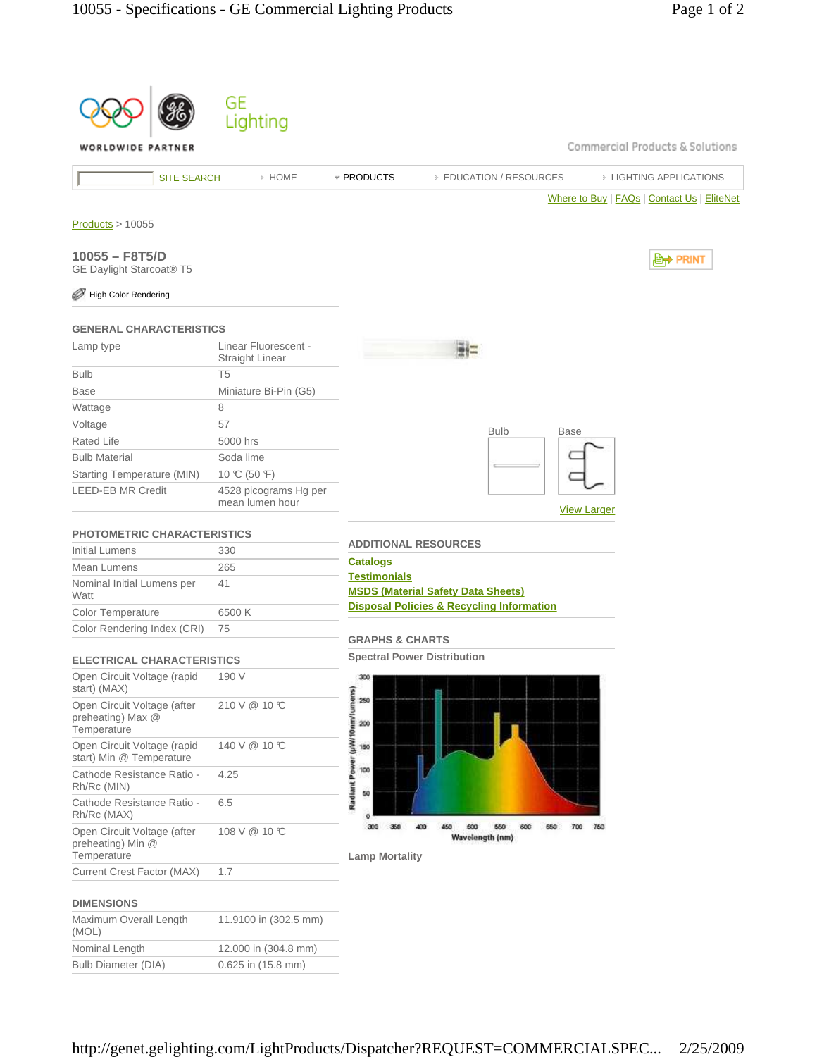

| 210 V @ 10 °C<br>Open Circuit Voltage (after<br>preheating) Max @<br>Temperature<br>140 V @ 10 °C<br>Open Circuit Voltage (rapid<br>start) Min @ Temperature<br>Cathode Resistance Ratio -<br>4.25<br>Rh/Rc (MIN)<br>Cathode Resistance Ratio -<br>6.5<br>Rh/Rc (MAX)<br>108 V @ 10 °C<br>Open Circuit Voltage (after<br>preheating) Min @<br>Temperature<br>Current Crest Factor (MAX)<br>1.7 | Open Circuit Voltage (rapid<br>start) (MAX) | 190 V |
|------------------------------------------------------------------------------------------------------------------------------------------------------------------------------------------------------------------------------------------------------------------------------------------------------------------------------------------------------------------------------------------------|---------------------------------------------|-------|
|                                                                                                                                                                                                                                                                                                                                                                                                |                                             |       |
|                                                                                                                                                                                                                                                                                                                                                                                                |                                             |       |
|                                                                                                                                                                                                                                                                                                                                                                                                |                                             |       |
|                                                                                                                                                                                                                                                                                                                                                                                                |                                             |       |
|                                                                                                                                                                                                                                                                                                                                                                                                |                                             |       |
|                                                                                                                                                                                                                                                                                                                                                                                                |                                             |       |



#### **DIMENSIONS**

| Maximum Overall Length<br>(MOL) | 11.9100 in (302.5 mm) |
|---------------------------------|-----------------------|
| Nominal Length                  | 12.000 in (304.8 mm)  |
| Bulb Diameter (DIA)             | 0.625 in (15.8 mm)    |